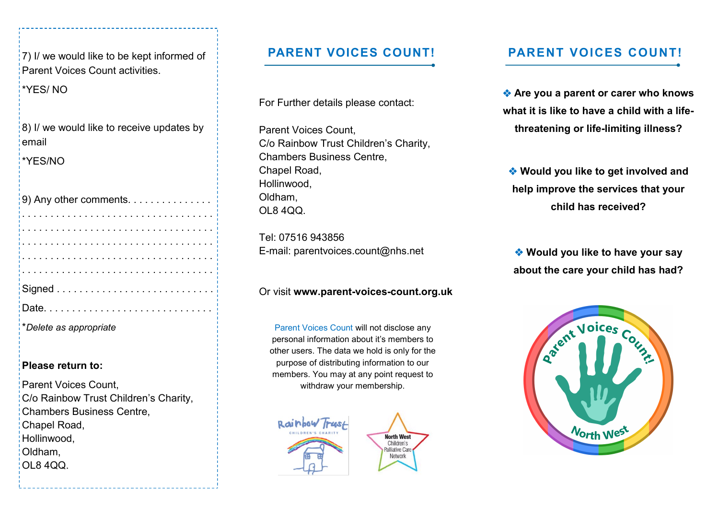$(7)$  I/ we would like to be kept informed of Parent Voices Count activities.

\*YES/ NO

 $\vert$  8) I/ we would like to receive updates by email

\*YES/NO

| *Delete as appropriate |
|------------------------|

#### **Please return to:**

Parent Voices Count, C/o Rainbow Trust Children's Charity, Chambers Business Centre, Chapel Road, Hollinwood, Oldham, OL8 4QQ.

For Further details please contact:

Parent Voices Count, C/o Rainbow Trust Children's Charity, Chambers Business Centre, Chapel Road, Hollinwood, Oldham, OL8 4QQ.

Tel: 07516 943856 E-mail: parentvoices.count@nhs.net

#### Or visit **www.parent-voices-count.org.uk**

Parent Voices Count will not disclose any personal information about it's members to other users. The data we hold is only for the purpose of distributing information to our members. You may at any point request to withdraw your membership.

> **North West** Children's **Palliative Care** Network



### **PARENT VOICES COUNT! PARENT VOICES COUNT!**

 **Are you a parent or carer who knows what it is like to have a child with a lifethreatening or life-limiting illness?**

 **Would you like to get involved and help improve the services that your child has received?**

 **Would you like to have your say about the care your child has had?**